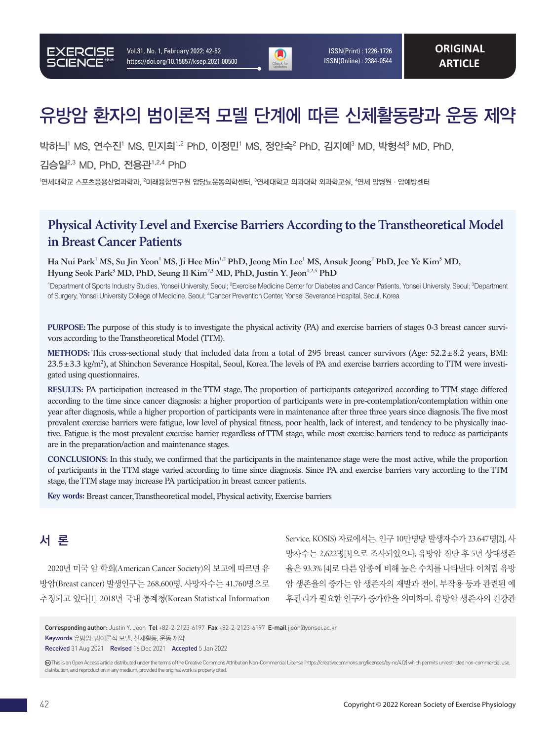

 ISSN(Print) : 1226-1726 ISSN(Online) : 2384-0544

# 유방암 환자의 범이론적 모델 단계에 따른 신체활동량과 운동 제약

박하늬<sup>1</sup> MS, 연수진<sup>1</sup> MS, 민지희<sup>1,2</sup> PhD, 이정민<sup>1</sup> MS, 정안숙<sup>2</sup> PhD, 김지예<sup>3</sup> MD, 박형석<sup>3</sup> MD, PhD,

김승일2,3 MD, PhD, 전용관1,2,4 PhD

'연세대학교 스포츠응용산업과학과, <sup>2</sup>미래융합연구원 암당뇨운동의학센터, <sup>3</sup>연세대학교 의과대학 외과학교실, '연세 암병원 · 암예방센터

## **Physical Activity Level and Exercise Barriers According to the Transtheoretical Model in Breast Cancer Patients**

 $\bf H$ a Nui Park<sup>1</sup> MS, Su Jin Yeon<sup>1</sup> MS, Ji Hee Min<sup>1,2</sup> PhD, Jeong Min Lee<sup>1</sup> MS, Ansuk Jeong<sup>2</sup> PhD, Jee Ye Kim<sup>3</sup> MD, Hyung Seok Park<sup>3</sup> MD, PhD, Seung Il Kim<sup>2,3</sup> MD, PhD, Justin Y. Jeon<sup>1,2,4</sup> PhD

<sup>1</sup>Department of Sports Industry Studies, Yonsei University, Seoul; <sup>2</sup>Exercise Medicine Center for Diabetes and Cancer Patients, Yonsei University, Seoul; <sup>3</sup>Department of Surgery, Yonsei University College of Medicine, Seoul; <sup>4</sup>Cancer Prevention Center, Yonsei Severance Hospital, Seoul, Korea

**PURPOSE:** The purpose of this study is to investigate the physical activity (PA) and exercise barriers of stages 0-3 breast cancer survivors according to the Transtheoretical Model (TTM).

**METHODS:** This cross-sectional study that included data from a total of 295 breast cancer survivors (Age: 52.2±8.2 years, BMI: 23.5±3.3 kg/m2 ), at Shinchon Severance Hospital, Seoul, Korea. The levels of PA and exercise barriers according to TTM were investigated using questionnaires.

**RESULTS:** PA participation increased in the TTM stage. The proportion of participants categorized according to TTM stage differed according to the time since cancer diagnosis: a higher proportion of participants were in pre-contemplation/contemplation within one year after diagnosis, while a higher proportion of participants were in maintenance after three three years since diagnosis. The five most prevalent exercise barriers were fatigue, low level of physical fitness, poor health, lack of interest, and tendency to be physically inactive. Fatigue is the most prevalent exercise barrier regardless of TTM stage, while most exercise barriers tend to reduce as participants are in the preparation/action and maintenance stages.

**CONCLUSIONS:** In this study, we confirmed that the participants in the maintenance stage were the most active, while the proportion of participants in the TTM stage varied according to time since diagnosis. Since PA and exercise barriers vary according to the TTM stage, the TTM stage may increase PA participation in breast cancer patients.

**Key words:** Breast cancer, Transtheoretical model, Physical activity, Exercise barriers

## 서 론

2020년 미국 암 학회(American Cancer Society)의 보고에 따르면 유 방암(Breast cancer) 발생인구는 268,600명, 사망자수는 41,760명으로 추정되고 있다[1]. 2018년 국내 통계청(Korean Statistical Information Service, KOSIS) 자료에서는, 인구 10만명당 발생자수가 23.647명[2], 사 망자수는 2,622명[3]으로 조사되었으나, 유방암 진단 후 5년 상대생존 율은 93.3% [4]로 다른 암종에 비해 높은 수치를 나타낸다. 이처럼 유방 암 생존율의 증가는 암 생존자의 재발과 전이, 부작용 등과 관련된 예 후관리가 필요한 인구가 증가함을 의미하며, 유방암 생존자의 건강관

Keywords 유방암, 범이론적 모델, 신체활동, 운동 제약

Received 31 Aug 2021 Revised 16 Dec 2021 Accepted 5 Jan 2022

 This is an Open Access article distributed under the terms of the Creative Commons Attribution Non-Commercial License (https://creativecommons.org/licenses/by-nc/4.0/) which permits unrestricted non-commercial use, distribution, and reproduction in any medium, provided the original work is properly cited.

Corresponding author: Justin Y. Jeon Tel +82-2-2123-6197 Fax +82-2-2123-6197 E-mail jjeon@yonsei.ac.kr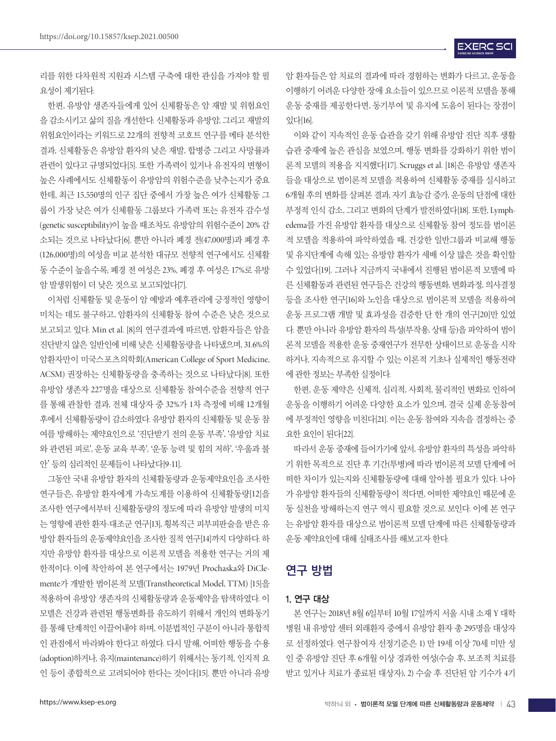리를 위한 다차원적 지원과 시스템 구축에 대한 관심을 가져야 할 필 요성이 제기된다.

한편, 유방암 생존자들에게 있어 신체활동은 암 재발 및 위험요인 을 감소시키고 삶의 질을 개선한다. 신체활동과 유방암, 그리고 재발의 위험요인이라는 키워드로 22개의 전향적 코호트 연구를 메타 분석한 결과, 신체활동은 유방암 환자의 낮은 재발, 합병증 그리고 사망률과 관련이 있다고 규명되었다[5]. 또한 가족력이 있거나 유전자의 변형이 높은 사례에서도 신체활동이 유방암의 위험수준을 낮추는지가 중요 한데, 최근 15,550명의 인구 집단 중에서 가장 높은 여가 신체활동 그 룹이 가장 낮은 여가 신체활동 그룹보다 가족력 또는 유전자 감수성 (genetic susceptibility)이 높을 때조차도 유방암의 위험수준이 20% 감 소되는 것으로 나타났다[6]. 뿐만 아니라 폐경 전(47,000명)과 폐경 후 (126,000명)의 여성을 비교 분석한 대규모 전향적 연구에서도 신체활 동 수준이 높을수록, 폐경 전 여성은 23%, 폐경 후 여성은 17%로 유방 암 발생위험이 더 낮은 것으로 보고되었다[7].

이처럼 신체활동 및 운동이 암 예방과 예후관리에 긍정적인 영향이 미치는 데도 불구하고, 암환자의 신체활동 참여 수준은 낮은 것으로 보고되고 있다. Min et al. [8]의 연구결과에 따르면, 암환자들은 암을 진단받지 않은 일반인에 비해 낮은 신체활동량을 나타냈으며, 31.6%의 암환자만이 미국스포츠의학회(American College of Sport Medicine, ACSM) 권장하는 신체활동량을 충족하는 것으로 나타났다[8]. 또한 유방암 생존자 227명을 대상으로 신체활동 참여수준을 전향적 연구 를 통해 관찰한 결과, 전체 대상자 중 32%가 1차 측정에 비해 12개월 후에서 신체활동량이 감소하였다. 유방암 환자의 신체활동 및 운동 참 여를 방해하는 제약요인으로 '진단받기 전의 운동 부족', '유방암 치료 와 관련된 피로', 운동 교육 부족', '운동 능력 및 힘의 저하', '우울과 불 안' 등의 심리적인 문제들이 나타났다[9-11].

그동안 국내 유방암 환자의 신체활동량과 운동제약요인을 조사한 연구들은, 유방암 환자에게 가속도계를 이용하여 신체활동량[12]을 조사한 연구에서부터 신체활동량의 정도에 따라 유방암 발생의 미치 는 영향에 관한 환자-대조군 연구[13], 횡복직근 피부피판술을 받은 유 방암 환자들의 운동제약요인을 조사한 질적 연구[14]까지 다양하다. 하 지만 유방암 환자를 대상으로 이론적 모델을 적용한 연구는 거의 제 한적이다. 이에 착안하여 본 연구에서는 1979년 Prochaska와 DiClemente가 개발한 범이론적 모델(Transtheoretical Model, TTM) [15]을 적용하여 유방암 생존자의 신체활동량과 운동제약을 탐색하였다. 이 모델은 건강과 관련된 행동변화를 유도하기 위해서 개인의 변화동기 를 통해 단계적인 이끌어내야 하며, 이분법적인 구분이 아니라 통합적 인 관점에서 바라봐야 한다고 하였다. 다시 말해, 어떠한 행동을 수용 (adoption)하거나, 유지(maintenance)하기 위해서는 동기적, 인지적 요 인 등이 종합적으로 고려되어야 한다는 것이다[15]. 뿐만 아니라 유방

암 환자들은 암 치료의 결과에 따라 경험하는 변화가 다르고, 운동을 이행하기 어려운 다양한 장애 요소들이 있으므로 이론적 모델을 통해 운동 중재를 제공한다면, 동기부여 및 유지에 도움이 된다는 장점이 있다[16].

이와 같이 지속적인 운동 습관을 갖기 위해 유방암 진단 직후 생활 습관 중재에 높은 관심을 보였으며, 행동 변화를 강화하기 위한 범이 론적 모델의 적용을 지지했다[17]. Scruggs et al. [18]은 유방암 생존자 들을 대상으로 범이론적 모델을 적용하여 신체활동 중재를 실시하고 6개월 후의 변화를 살펴본 결과, 자기 효능감 증가, 운동의 단점에 대한 부정적 인식 감소, 그리고 변화의 단계가 발전하였다[18]. 또한, Lymphedema를 가진 유방암 환자를 대상으로 신체활동 참여 정도를 범이론 적 모델을 적용하여 파악하였을 때, 건강한 일반그룹과 비교해 행동 및 유지단계에 속해 있는 유방암 환자가 세배 이상 많은 것을 확인할 수 있었다[19]. 그러나 지금까지 국내에서 진행된 범이론적 모델에 따 른 신체활동과 관련된 연구들은 건강의 행동변화, 변화과정, 의사결정 등을 조사한 연구[16]와 노인을 대상으로 범이론적 모델을 적용하여 운동 프로그램 개발 및 효과성을 검증한 단 한 개의 연구[20]만 있었 다. 뿐만 아니라 유방암 환자의 특성(부작용, 상태 등)을 파악하여 범이 론적 모델을 적용한 운동 중재연구가 전무한 상태이므로 운동을 시작 하거나, 지속적으로 유지할 수 있는 이론적 기초나 실제적인 행동전략 에 관한 정보는 부족한 실정이다.

한편, 운동 제약은 신체적, 심리적, 사회적, 물리적인 변화로 인하여 운동을 이행하기 어려운 다양한 요소가 있으며, 결국 실제 운동참여 에 부정적인 영향을 미친다[21]. 이는 운동 참여와 지속을 결정하는 중 요한 요인이 된다[22].

따라서 운동 중재에 들어가기에 앞서, 유방암 환자의 특성을 파악하 기 위한 목적으로 진단 후 기간(투병)에 따라 범이론적 모델 단계에 어 떠한 차이가 있는지와 신체활동량에 대해 알아볼 필요가 있다. 나아 가 유방암 환자들의 신체활동량이 적다면, 어떠한 제약요인 때문에 운 동 실천을 방해하는지 연구 역시 필요할 것으로 보인다. 이에 본 연구 는 유방암 환자를 대상으로 범이론적 모델 단계에 따른 신체활동량과 운동 제약요인에 대해 실태조사를 해보고자 한다.

### 연구 방법

#### 1. 연구 대상

본 연구는 2018년 8월 6일부터 10월 17일까지 서울 시내 소재 Y 대학 병원 내 유방암 센터 외래환자 중에서 유방암 환자 총 295명을 대상자 로 선정하였다. 연구참여자 선정기준은 1) 만 19세 이상 70세 미만 성 인 중 유방암 진단 후 6개월 이상 경과한 여성(수술 후, 보조적 치료를 받고 있거나 치료가 종료된 대상자), 2) 수술 후 진단된 암 기수가 4기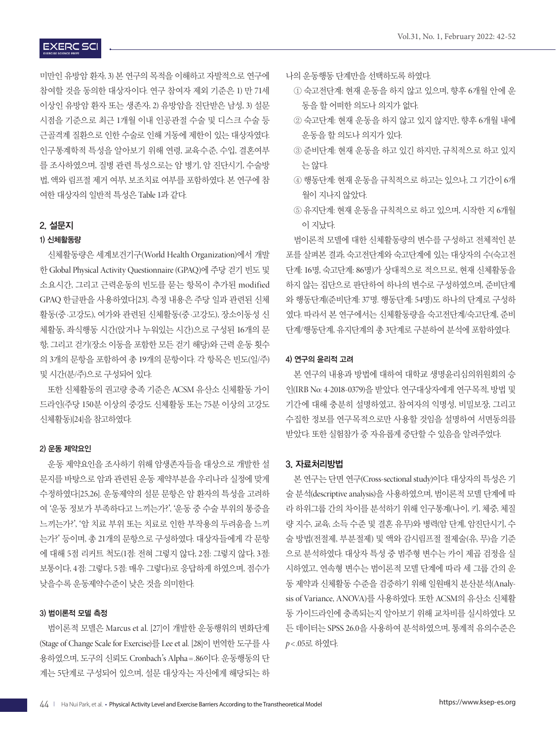## **EXERC SCI**

미만인 유방암 환자, 3) 본 연구의 목적을 이해하고 자발적으로 연구에 참여할 것을 동의한 대상자이다. 연구 참여자 제외 기준은 1) 만 71세 이상인 유방암 환자 또는 생존자, 2) 유방암을 진단받은 남성, 3) 설문 시점을 기준으로 최근 1개월 이내 인공관절 수술 및 디스크 수술 등 근골격계 질환으로 인한 수술로 인해 거동에 제한이 있는 대상자였다. 인구통계학적 특성을 알아보기 위해 연령, 교육수준, 수입, 결혼여부 를 조사하였으며, 질병 관련 특성으로는 암 병기, 암 진단시기, 수술방 법, 액와 림프절 제거 여부, 보조치료 여부를 포함하였다. 본 연구에 참 여한 대상자의 일반적 특성은 Table 1과 같다.

#### 2. 설문지

#### 1) 신체활동량

신체활동량은 세계보건기구(World Health Organization)에서 개발 한 Global Physical Activity Questionnaire (GPAQ)에 주당 걷기 빈도 및 소요시간, 그리고 근력운동의 빈도를 묻는 항목이 추가된 modified GPAQ 한글판을 사용하였다[23]. 측정 내용은 주당 일과 관련된 신체 활동(중·고강도), 여가와 관련된 신체활동(중·고강도), 장소이동성 신 체활동, 좌식행동 시간(앉거나 누워있는 시간)으로 구성된 16개의 문 항, 그리고 걷기(장소 이동을 포함한 모든 걷기 해당)와 근력 운동 횟수 의 3개의 문항을 포함하여 총 19개의 문항이다. 각 항목은 빈도(일/주) 및 시간(분/주)으로 구성되어 있다.

또한 신체활동의 권고량 충족 기준은 ACSM 유산소 신체활동 가이 드라인(주당 150분 이상의 중강도 신체활동 또는 75분 이상의 고강도 신체활동)[24]을 참고하였다.

#### 2) 운동 제약요인

운동 제약요인을 조사하기 위해 암생존자들을 대상으로 개발한 설 문지를 바탕으로 암과 관련된 운동 제약부분을 우리나라 실정에 맞게 수정하였다[25,26]. 운동제약의 설문 문항은 암 환자의 특성을 고려하 여 '운동 정보가 부족하다고 느끼는가?', '운동 중 수술 부위의 통증을 느끼는가?', '암 치료 부위 또는 치료로 인한 부작용의 두려움을 느끼 는가?' 등이며, 총 21개의 문항으로 구성하였다. 대상자들에게 각 문항 에 대해 5점 리커트 척도(1점: 전혀 그렇지 않다, 2점: 그렇지 않다, 3점: 보통이다, 4점: 그렇다, 5점: 매우 그렇다)로 응답하게 하였으며, 점수가 낮을수록 운동제약수준이 낮은 것을 의미한다.

#### 3) 범이론적 모델 측정

범이론적 모델은 Marcus et al. [27]이 개발한 운동행위의 변화단계 (Stage of Change Scale for Exercise)를 Lee et al. [28]이 번역한 도구를 사 용하였으며, 도구의 신뢰도 Cronbach's Alpha =.86이다. 운동행동의 단 계는 5단계로 구성되어 있으며, 설문 대상자는 자신에게 해당되는 하

- 나의 운동행동 단계만을 선택하도록 하였다.
	- ① 숙고전단계: 현재 운동을 하지 않고 있으며, 향후 6개월 안에 운 동을 할 어떠한 의도나 의지가 없다.
	- ② 숙고단계: 현재 운동을 하지 않고 있지 않지만, 향후 6개월 내에 운동을 할 의도나 의지가 있다.
	- ③ 준비단계: 현재 운동을 하고 있긴 하지만, 규칙적으로 하고 있지 는 않다.
	- ④ 행동단계: 현재 운동을 규칙적으로 하고는 있으나, 그 기간이 6개 월이 지나지 않았다.
	- ⑤ 유지단계: 현재 운동을 규칙적으로 하고 있으며, 시작한 지 6개월 이 지났다.

범이론적 모델에 대한 신체활동량의 변수를 구성하고 전체적인 분 포를 살펴본 결과, 숙고전단계와 숙고단계에 있는 대상자의 수(숙고전 단계: 16명, 숙고단계: 86명)가 상대적으로 적으므로, 현재 신체활동을 하지 않는 집단으로 판단하여 하나의 변수로 구성하였으며, 준비단계 와 행동단계(준비단계: 37명. 행동단계: 54명)도 하나의 단계로 구성하 였다. 따라서 본 연구에서는 신체활동량을 숙고전단계/숙고단계, 준비 단계/행동단계, 유지단계의 총 3단계로 구분하여 분석에 포함하였다.

#### 4) 연구의 윤리적 고려

본 연구의 내용과 방법에 대하여 대학교 생명윤리심의위원회의 승 인(IRB No: 4-2018-0379)을 받았다. 연구대상자에게 연구목적, 방법 및 기간에 대해 충분히 설명하였고, 참여자의 익명성, 비밀보장, 그리고 수집한 정보를 연구목적으로만 사용할 것임을 설명하여 서면동의를 받았다. 또한 실험참가 중 자유롭게 중단할 수 있음을 알려주었다.

#### 3. 자료처리방법

본 연구는 단면 연구(Cross-sectional study)이다. 대상자의 특성은 기 술 분석(descriptive analysis)을 사용하였으며, 범이론적 모델 단계에 따 라 하위그룹 간의 차이를 분석하기 위해 인구통계(나이, 키, 체중, 체질 량 지수, 교육, 소득 수준 및 결혼 유무)와 병력(암 단계, 암진단시기, 수 술 방법(전절제, 부분절제) 및 액와 감시림프절 절제술(유, 무)을 기준 으로 분석하였다. 대상자 특성 중 범주형 변수는 카이 제곱 검정을 실 시하였고, 연속형 변수는 범이론적 모델 단계에 따라 세 그룹 간의 운 동 제약과 신체활동 수준을 검증하기 위해 일원배치 분산분석(Analysis of Variance, ANOVA)를 사용하였다. 또한 ACSM의 유산소 신체활 동 가이드라인에 충족되는지 알아보기 위해 교차비를 실시하였다. 모 든 데이터는 SPSS 26.0을 사용하여 분석하였으며, 통계적 유의수준은 *p*< .05로 하였다.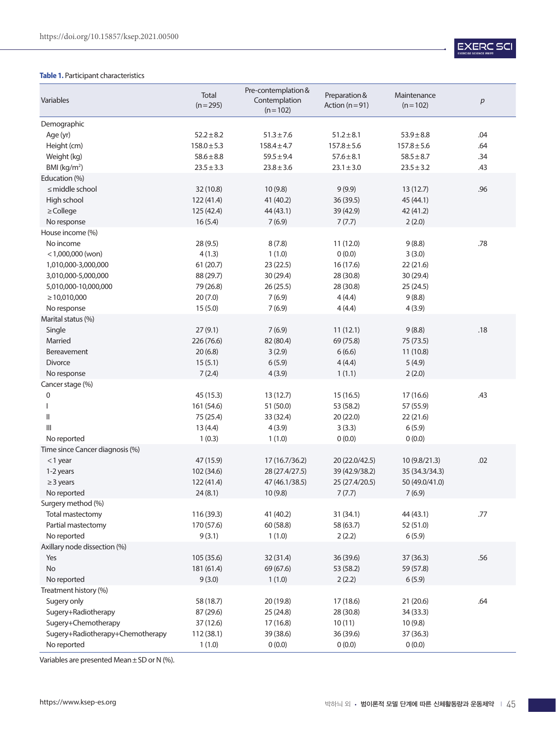#### **Table 1.** Participant characteristics

| Variables                            | Total<br>$(n=295)$ | Pre-contemplation &<br>Contemplation<br>$(n=102)$ | Preparation &<br>Action ( $n = 91$ ) | Maintenance<br>$(n=102)$ | р   |
|--------------------------------------|--------------------|---------------------------------------------------|--------------------------------------|--------------------------|-----|
| Demographic                          |                    |                                                   |                                      |                          |     |
| Age (yr)                             | $52.2 \pm 8.2$     | $51.3 \pm 7.6$                                    | $51.2 \pm 8.1$                       | $53.9 \pm 8.8$           | .04 |
| Height (cm)                          | $158.0 \pm 5.3$    | $158.4 \pm 4.7$                                   | $157.8 \pm 5.6$                      | $157.8 \pm 5.6$          | .64 |
| Weight (kg)                          | $58.6 \pm 8.8$     | $59.5 \pm 9.4$                                    | $57.6 \pm 8.1$                       | $58.5 \pm 8.7$           | .34 |
| $BMl$ (kg/m <sup>2</sup> )           | $23.5 \pm 3.3$     | $23.8 \pm 3.6$                                    | $23.1 \pm 3.0$                       | $23.5 \pm 3.2$           | .43 |
| Education (%)                        |                    |                                                   |                                      |                          |     |
| $\leq$ middle school                 | 32 (10.8)          | 10(9.8)                                           | 9(9.9)                               | 13(12.7)                 | .96 |
| High school                          | 122 (41.4)         | 41 (40.2)                                         | 36 (39.5)                            | 45 (44.1)                |     |
| $\ge$ College                        | 125 (42.4)         | 44 (43.1)                                         | 39 (42.9)                            | 42 (41.2)                |     |
| No response                          | 16(5.4)            | 7(6.9)                                            | 7(7.7)                               | 2(2.0)                   |     |
| House income (%)                     |                    |                                                   |                                      |                          |     |
| No income                            | 28(9.5)            | 8(7.8)                                            | 11 (12.0)                            | 9(8.8)                   | .78 |
| $<$ 1,000,000 (won)                  | 4(1.3)             | 1(1.0)                                            | 0(0.0)                               | 3(3.0)                   |     |
| 1,010,000-3,000,000                  | 61(20.7)           | 23(22.5)                                          | 16 (17.6)                            | 22(21.6)                 |     |
| 3,010,000-5,000,000                  | 88 (29.7)          | 30 (29.4)                                         | 28 (30.8)                            | 30 (29.4)                |     |
| 5,010,000-10,000,000                 | 79 (26.8)          | 26(25.5)                                          | 28 (30.8)                            | 25 (24.5)                |     |
| $\geq 10,010,000$                    | 20(7.0)            | 7(6.9)                                            | 4(4.4)                               | 9(8.8)                   |     |
| No response                          | 15(5.0)            | 7(6.9)                                            | 4(4.4)                               | 4(3.9)                   |     |
| Marital status (%)                   |                    |                                                   |                                      |                          |     |
| Single                               | 27(9.1)            | 7(6.9)                                            | 11(12.1)                             | 9(8.8)                   | .18 |
| Married                              | 226 (76.6)         | 82 (80.4)                                         | 69 (75.8)                            | 75 (73.5)                |     |
| <b>Bereavement</b>                   | 20(6.8)            | 3(2.9)                                            | 6(6.6)                               | 11(10.8)                 |     |
| <b>Divorce</b>                       | 15(5.1)            | 6(5.9)                                            | 4(4.4)                               | 5(4.9)                   |     |
| No response                          | 7(2.4)             | 4(3.9)                                            | 1(1.1)                               | 2(2.0)                   |     |
| Cancer stage (%)<br>$\boldsymbol{0}$ | 45 (15.3)          | 13(12.7)                                          | 15(16.5)                             | 17 (16.6)                | .43 |
|                                      | 161 (54.6)         | 51 (50.0)                                         | 53 (58.2)                            | 57 (55.9)                |     |
| Ш                                    | 75 (25.4)          | 33 (32.4)                                         | 20(22.0)                             | 22(21.6)                 |     |
| $\mathbf{III}$                       | 13(4.4)            | 4(3.9)                                            | 3(3.3)                               | 6(5.9)                   |     |
| No reported                          | 1(0.3)             | 1(1.0)                                            | 0(0.0)                               | 0(0.0)                   |     |
| Time since Cancer diagnosis (%)      |                    |                                                   |                                      |                          |     |
| $<$ 1 year                           | 47 (15.9)          | 17 (16.7/36.2)                                    | 20 (22.0/42.5)                       | 10 (9.8/21.3)            | .02 |
| 1-2 years                            | 102 (34.6)         | 28 (27.4/27.5)                                    | 39 (42.9/38.2)                       | 35 (34.3/34.3)           |     |
| $\geq$ 3 years                       | 122 (41.4)         | 47 (46.1/38.5)                                    | 25 (27.4/20.5)                       | 50 (49.0/41.0)           |     |
| No reported                          | 24(8.1)            | 10(9.8)                                           | 7(7.7)                               | 7(6.9)                   |     |
| Surgery method (%)                   |                    |                                                   |                                      |                          |     |
| Total mastectomy                     | 116 (39.3)         | 41 (40.2)                                         | 31 (34.1)                            | 44 (43.1)                | .77 |
| Partial mastectomy                   | 170 (57.6)         | 60 (58.8)                                         | 58 (63.7)                            | 52 (51.0)                |     |
| No reported                          | 9(3.1)             | 1(1.0)                                            | 2(2.2)                               | 6(5.9)                   |     |
| Axillary node dissection (%)         |                    |                                                   |                                      |                          |     |
| Yes                                  | 105 (35.6)         | 32 (31.4)                                         | 36 (39.6)                            | 37 (36.3)                | .56 |
| <b>No</b>                            | 181 (61.4)         | 69 (67.6)                                         | 53 (58.2)                            | 59 (57.8)                |     |
| No reported                          | 9(3.0)             | 1(1.0)                                            | 2(2.2)                               | 6(5.9)                   |     |
| Treatment history (%)                |                    |                                                   |                                      |                          |     |
| Sugery only                          | 58 (18.7)          | 20 (19.8)                                         | 17 (18.6)                            | 21 (20.6)                | .64 |
| Sugery+Radiotherapy                  | 87 (29.6)          | 25 (24.8)                                         | 28 (30.8)                            | 34 (33.3)                |     |
| Sugery+Chemotherapy                  | 37 (12.6)          | 17(16.8)                                          | 10(11)                               | 10(9.8)                  |     |
| Sugery+Radiotherapy+Chemotherapy     | 112 (38.1)         | 39 (38.6)                                         | 36 (39.6)                            | 37 (36.3)                |     |
| No reported                          | 1(1.0)             | 0(0.0)                                            | 0(0.0)                               | 0(0.0)                   |     |

Variables are presented Mean  $\pm$  SD or N (%).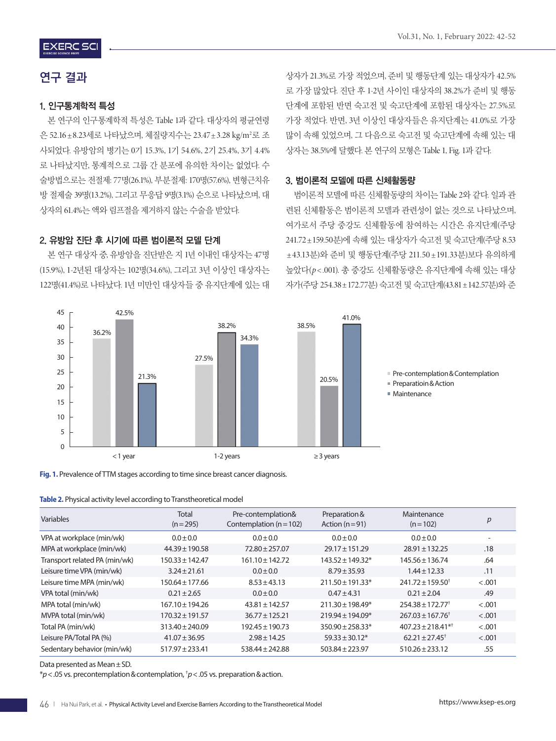## 연구 결과

### 1. 인구통계학적 특성

본 연구의 인구통계학적 특성은 Table 1과 같다. 대상자의 평균연령 은 52.16±8.23세로 나타났으며, 체질량지수는 23.47±3.28 kg/m²로 조 사되었다. 유방암의 병기는 0기 15.3%, 1기 54.6%, 2기 25.4%, 3기 4.4% 로 나타났지만, 통계적으로 그룹 간 분포에 유의한 차이는 없었다. 수 술방법으로는 전절제: 77명(26.1%), 부분절제: 170명(57.6%), 변형근치유 방 절제술 39명(13.2%), 그리고 무응답 9명(3.1%) 순으로 나타났으며, 대 상자의 61.4%는 액와 림프절을 제거하지 않는 수술을 받았다.

#### 2. 유방암 진단 후 시기에 따른 범이론적 모델 단계

본 연구 대상자 중, 유방암을 진단받은 지 1년 이내인 대상자는 47명 (15.9%), 1-2년된 대상자는 102명(34.6%), 그리고 3년 이상인 대상자는 122명(41.4%)로 나타났다. 1년 미만인 대상자들 중 유지단계에 있는 대 상자가 21.3%로 가장 적었으며, 준비 및 행동단계 있는 대상자가 42.5% 로 가장 많았다. 진단 후 1-2년 사이인 대상자의 38.2%가 준비 및 행동 단계에 포함된 반면 숙고전 및 숙고단계에 포함된 대상자는 27.5%로 가장 적었다. 반면, 3년 이상인 대상자들은 유지단계는 41.0%로 가장 많이 속해 있었으며, 그 다음으로 숙고전 및 숙고단계에 속해 있는 대 상자는 38.5%에 달했다. 본 연구의 모형은 Table 1, Fig. 1과 같다.

#### 3. 범이론적 모델에 따른 신체활동량

범이론적 모델에 따른 신체활동량의 차이는 Table 2와 같다. 일과 관 련된 신체활동은 범이론적 모델과 관련성이 없는 것으로 나타났으며, 여가로서 주당 중강도 신체활동에 참여하는 시간은 유지단계(주당 241.72±159.50분)에 속해 있는 대상자가 숙고전 및 숙고단계(주당 8.53 ±43.13분)와 준비 및 행동단계(주당 211.50 ±191.33분)보다 유의하게 높았다(*p*< .001). 총 중강도 신체활동량은 유지단계에 속해 있는 대상 자가(주당 254.38±172.77분) 숙고전 및 숙고단계(43.81±142.57분)와 준





| Table 2. Physical activity level according to Transtheoretical model |  |  |
|----------------------------------------------------------------------|--|--|
|----------------------------------------------------------------------|--|--|

| Variables                     | <b>Total</b><br>$(n=295)$ | Pre-contemplation&<br>Contemplation ( $n = 102$ ) | Preparation &<br>Action ( $n = 91$ ) | Maintenance<br>$(n=102)$          | p                        |
|-------------------------------|---------------------------|---------------------------------------------------|--------------------------------------|-----------------------------------|--------------------------|
| VPA at workplace (min/wk)     | $0.0 \pm 0.0$             | $0.0 \pm 0.0$                                     | $0.0 \pm 0.0$                        | $0.0 \pm 0.0$                     | $\overline{\phantom{0}}$ |
| MPA at workplace (min/wk)     | $44.39 \pm 190.58$        | 72.80 ± 257.07                                    | $29.17 \pm 151.29$                   | $28.91 \pm 132.25$                | .18                      |
| Transport related PA (min/wk) | $150.33 \pm 142.47$       | $161.10 \pm 142.72$                               | $143.52 \pm 149.32^*$                | $145.56 \pm 136.74$               | .64                      |
| Leisure time VPA (min/wk)     | $3.24 \pm 21.61$          | $0.0 \pm 0.0$                                     | $8.79 \pm 35.93$                     | $1.44 \pm 12.33$                  | .11                      |
| Leisure time MPA (min/wk)     | $150.64 \pm 177.66$       | $8.53 \pm 43.13$                                  | $211.50 \pm 191.33*$                 | $741.72 + 159.50^{\dagger}$       | < .001                   |
| VPA total (min/wk)            | $0.21 \pm 2.65$           | $0.0 \pm 0.0$                                     | $0.47 \pm 4.31$                      | $0.21 \pm 2.04$                   | .49                      |
| MPA total (min/wk)            | $167.10 \pm 194.26$       | $43.81 \pm 142.57$                                | $211.30 \pm 198.49*$                 | $254.38 \pm 172.77$ <sup>+</sup>  | $-.001$                  |
| MVPA total (min/wk)           | $170.32 \pm 191.57$       | $36.77 \pm 125.21$                                | $219.94 \pm 194.09*$                 | $267.03 \pm 167.76^{\dagger}$     | < .001                   |
| Total PA (min/wk)             | $313.40 \pm 240.09$       | $192.45 \pm 190.73$                               | $350.90 \pm 258.33*$                 | $407.23 \pm 218.41$ <sup>*†</sup> | $-.001$                  |
| Leisure PA/Total PA (%)       | $41.07 \pm 36.95$         | $2.98 \pm 14.25$                                  | $59.33 \pm 30.12*$                   | $62.21 \pm 27.45^+$               | < .001                   |
| Sedentary behavior (min/wk)   | $517.97 \pm 233.41$       | $538.44 \pm 242.88$                               | $503.84 \pm 223.97$                  | $510.26 \pm 233.12$               | .55                      |

Data presented as Mean±SD.

\**p*<.05 vs. precontemplation&contemplation, † *p*<.05 vs. preparation&action.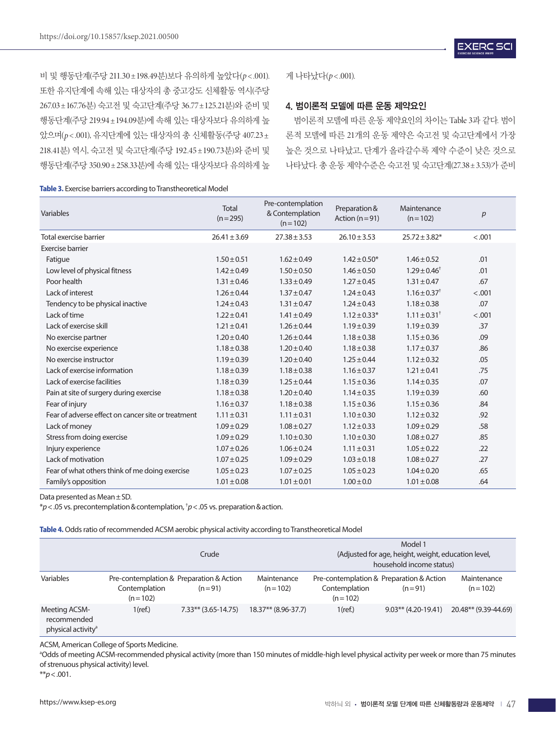비 및 행동단계(주당 211.30±198.49분)보다 유의하게 높았다(*p*< .001). 또한 유지단계에 속해 있는 대상자의 총 중고강도 신체활동 역시(주당 267.03±167.76분) 숙고전 및 숙고단계(주당 36.77±125.21분)와 준비 및 행동단계(주당 219.94±194.09분)에 속해 있는 대상자보다 유의하게 높 았으며(*p*< .001), 유지단계에 있는 대상자의 총 신체활동(주당 407.23± 218.41분) 역시, 숙고전 및 숙고단계(주당 192.45±190.73분)와 준비 및 행동단계(주당 350.90±258.33분)에 속해 있는 대상자보다 유의하게 높

**Table 3.** Exercise barriers according to Transtheoretical Model

게 나타났다(p<.001).

#### 4. 범이론적 모델에 따른 운동 제약요인

범이론적 모델에 따른 운동 제약요인의 차이는 Table 3과 같다. 범이 론적 모델에 따른 21개의 운동 제약은 숙고전 및 숙고단계에서 가장 높은 것으로 나타났고, 단계가 올라갈수록 제약 수준이 낮은 것으로 나타났다. 총 운동 제약수준은 숙고전 및 숙고단계(27.38±3.53)가 준비

| Variables                                          | <b>Total</b><br>$(n=295)$ | Pre-contemplation<br>& Contemplation<br>$(n=102)$ | Preparation &<br>Action ( $n = 91$ ) | Maintenance<br>$(n=102)$     | p      |
|----------------------------------------------------|---------------------------|---------------------------------------------------|--------------------------------------|------------------------------|--------|
| Total exercise barrier                             | $26.41 \pm 3.69$          | $27.38 \pm 3.53$                                  | $26.10 \pm 3.53$                     | $25.72 \pm 3.82*$            | < .001 |
| <b>Exercise barrier</b>                            |                           |                                                   |                                      |                              |        |
| Fatigue                                            | $1.50 \pm 0.51$           | $1.62 \pm 0.49$                                   | $1.42 \pm 0.50*$                     | $1.46 \pm 0.52$              | .01    |
| Low level of physical fitness                      | $1.42 \pm 0.49$           | $1.50 \pm 0.50$                                   | $1.46 \pm 0.50$                      | $1.29 \pm 0.46^{\dagger}$    | .01    |
| Poor health                                        | $1.31 \pm 0.46$           | $1.33 \pm 0.49$                                   | $1.27 \pm 0.45$                      | $1.31 \pm 0.47$              | .67    |
| Lack of interest                                   | $1.26 \pm 0.44$           | $1.37 \pm 0.47$                                   | $1.24 \pm 0.43$                      | $1.16 \pm 0.37$ <sup>+</sup> | < .001 |
| Tendency to be physical inactive                   | $1.24 \pm 0.43$           | $1.31 \pm 0.47$                                   | $1.24 \pm 0.43$                      | $1.18 \pm 0.38$              | .07    |
| Lack of time                                       | $1.22 \pm 0.41$           | $1.41 \pm 0.49$                                   | $1.12 \pm 0.33*$                     | $1.11 \pm 0.31^+$            | < .001 |
| Lack of exercise skill                             | $1.21 \pm 0.41$           | $1.26 \pm 0.44$                                   | $1.19 \pm 0.39$                      | $1.19 \pm 0.39$              | .37    |
| No exercise partner                                | $1.20 \pm 0.40$           | $1.26 \pm 0.44$                                   | $1.18 \pm 0.38$                      | $1.15 \pm 0.36$              | .09    |
| No exercise experience                             | $1.18 \pm 0.38$           | $1.20 \pm 0.40$                                   | $1.18 \pm 0.38$                      | $1.17 \pm 0.37$              | .86    |
| No exercise instructor                             | $1.19 \pm 0.39$           | $1.20 \pm 0.40$                                   | $1.25 \pm 0.44$                      | $1.12 \pm 0.32$              | .05    |
| Lack of exercise information                       | $1.18 \pm 0.39$           | $1.18 \pm 0.38$                                   | $1.16 \pm 0.37$                      | $1.21 \pm 0.41$              | .75    |
| Lack of exercise facilities                        | $1.18 \pm 0.39$           | $1.25 \pm 0.44$                                   | $1.15 \pm 0.36$                      | $1.14 \pm 0.35$              | .07    |
| Pain at site of surgery during exercise            | $1.18 \pm 0.38$           | $1.20 \pm 0.40$                                   | $1.14 \pm 0.35$                      | $1.19 \pm 0.39$              | .60    |
| Fear of injury                                     | $1.16 \pm 0.37$           | $1.18 \pm 0.38$                                   | $1.15 \pm 0.36$                      | $1.15 \pm 0.36$              | .84    |
| Fear of adverse effect on cancer site or treatment | $1.11 \pm 0.31$           | $1.11 \pm 0.31$                                   | $1.10 \pm 0.30$                      | $1.12 \pm 0.32$              | .92    |
| Lack of money                                      | $1.09 \pm 0.29$           | $1.08 \pm 0.27$                                   | $1.12 \pm 0.33$                      | $1.09 \pm 0.29$              | .58    |
| Stress from doing exercise                         | $1.09 \pm 0.29$           | $1.10 \pm 0.30$                                   | $1.10 \pm 0.30$                      | $1.08 \pm 0.27$              | .85    |
| Injury experience                                  | $1.07 \pm 0.26$           | $1.06 \pm 0.24$                                   | $1.11 \pm 0.31$                      | $1.05 \pm 0.22$              | .22    |
| Lack of motivation                                 | $1.07 \pm 0.25$           | $1.09 \pm 0.29$                                   | $1.03 \pm 0.18$                      | $1.08 \pm 0.27$              | .27    |
| Fear of what others think of me doing exercise     | $1.05 \pm 0.23$           | $1.07 \pm 0.25$                                   | $1.05 \pm 0.23$                      | $1.04 \pm 0.20$              | .65    |
| Family's opposition                                | $1.01 \pm 0.08$           | $1.01 \pm 0.01$                                   | $1.00 \pm 0.0$                       | $1.01 \pm 0.08$              | .64    |

Data presented as Mean±SD.

\**p*<.05 vs. precontemplation&contemplation, † *p*<.05 vs. preparation&action.

#### **Table 4.** Odds ratio of recommended ACSM aerobic physical activity according to Transtheoretical Model

|                                                                | Crude                                                                  |                        |                          | Model 1<br>(Adjusted for age, height, weight, education level,<br>household income status) |          |                                               |
|----------------------------------------------------------------|------------------------------------------------------------------------|------------------------|--------------------------|--------------------------------------------------------------------------------------------|----------|-----------------------------------------------|
| Variables                                                      | Pre-contemplation & Preparation & Action<br>Contemplation<br>$(n=102)$ | $(n=91)$               | Maintenance<br>$(n=102)$ | Pre-contemplation & Preparation & Action<br>Contemplation<br>$(n=102)$                     | $(n=91)$ | Maintenance<br>$(n=102)$                      |
| Meeting ACSM-<br>recommended<br>physical activity <sup>a</sup> | $1$ (ref.)                                                             | $7.33***$ (3.65-14.75) | $18.37**$ (8.96-37.7)    | $1$ (ref.)                                                                                 |          | $9.03***$ (4.20-19.41) $20.48**$ (9.39-44.69) |

ACSM, American College of Sports Medicine.

a Odds of meeting ACSM-recommended physical activity (more than 150 minutes of middle-high level physical activity per week or more than 75 minutes of strenuous physical activity) level.

\*\**p*<.001.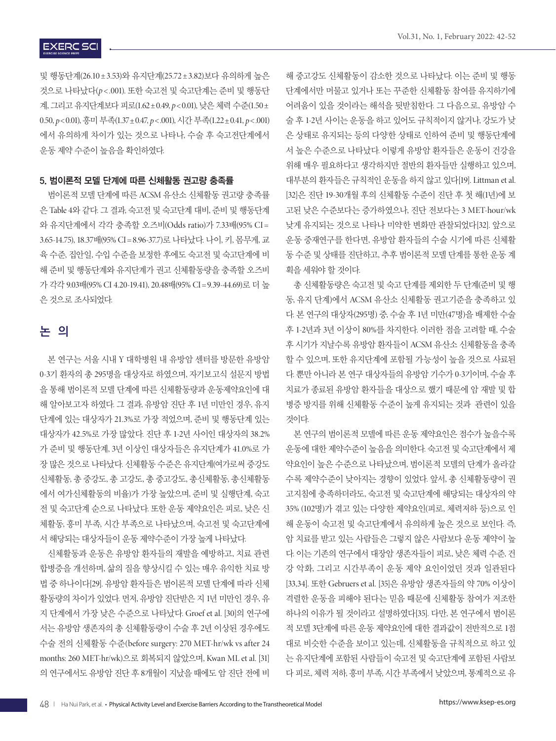## **EXERC SCI**

및 행동단계(26.10±3.53)와 유지단계(25.72±3.82)보다 유의하게 높은 것으로 나타났다(*p*< .001). 또한 숙고전 및 숙고단계는 준비 및 행동단 계, 그리고 유지단계보다 피로(1.62±0.49, *p*<0.01), 낮은 체력 수준(1.50± 0.50, *p*<0.01), 흥미 부족(1.37±0.47, *p*<.001), 시간 부족(1.22±0.41, *p*<.001) 에서 유의하게 차이가 있는 것으로 나타나, 수술 후 숙고전단계에서 운동 제약 수준이 높음을 확인하였다.

#### 5. 범이론적 모델 단계에 따른 신체활동 권고량 충족률

범이론적 모델 단계에 따른 ACSM 유산소 신체활동 권고량 충족률 은 Table 4와 같다. 그 결과, 숙고전 및 숙고단계 대비, 준비 및 행동단계 와 유지단계에서 각각 충족할 오즈비(Odds ratio)가 7.33배(95% CI = 3.65-14.75), 18.37배(95% CI = 8.96-37.7)로 나타났다. 나이, 키, 몸무게, 교 육 수준, 집안일, 수입 수준을 보정한 후에도 숙고전 및 숙고단계에 비 해 준비 및 행동단계와 유지단계가 권고 신체활동량을 충족할 오즈비 가 각각 9.03배(95% CI 4.20-19.41), 20.48배(95% CI = 9.39-44.69)로 더 높 은 것으로 조사되었다.

## 논 의

본 연구는 서울 시내 Y 대학병원 내 유방암 센터를 방문한 유방암 0-3기 환자의 총 295명을 대상자로 하였으며, 자기보고식 설문지 방법 을 통해 범이론적 모델 단계에 따른 신체활동량과 운동제약요인에 대 해 알아보고자 하였다. 그 결과, 유방암 진단 후 1년 미만인 경우, 유지 단계에 있는 대상자가 21.3%로 가장 적었으며, 준비 및 행동단계 있는 대상자가 42.5%로 가장 많았다. 진단 후 1-2년 사이인 대상자의 38.2% 가 준비 및 행동단계, 3년 이상인 대상자들은 유지단계가 41.0%로 가 장 많은 것으로 나타났다. 신체활동 수준은 유지단계(여가로써 중강도 신체활동, 총 중강도, 총 고강도, 총 중고강도, 총신체활동, 총신체활동 에서 여가신체활동의 비율)가 가장 높았으며, 준비 및 실행단계, 숙고 전 및 숙고단계 순으로 나타났다. 또한 운동 제약요인은 피로, 낮은 신 체활동, 흥미 부족, 시간 부족으로 나타났으며, 숙고전 및 숙고단계에 서 해당되는 대상자들이 운동 제약수준이 가장 높게 나타났다.

신체활동과 운동은 유방암 환자들의 재발을 예방하고, 치료 관련 합병증을 개선하며, 삶의 질을 향상시킬 수 있는 매우 유익한 치료 방 법 중 하나이다[29]. 유방암 환자들은 범이론적 모델 단계에 따라 신체 활동량의 차이가 있었다. 먼저, 유방암 진단받은 지 1년 미만인 경우, 유 지 단계에서 가장 낮은 수준으로 나타났다. Groef et al. [30]의 연구에 서는 유방암 생존자의 총 신체활동량이 수술 후 2년 이상된 경우에도 수술 전의 신체활동 수준(before surgery: 270 MET-hr/wk vs after 24 months: 260 MET-hr/wk)으로 회복되지 않았으며, Kwan ML et al. [31] 의 연구에서도 유방암 진단 후 8개월이 지났을 때에도 암 진단 전에 비

해 중고강도 신체활동이 감소한 것으로 나타났다. 이는 준비 및 행동 단계에서만 머물고 있거나 또는 꾸준한 신체활동 참여를 유지하기에 어려움이 있을 것이라는 해석을 뒷받침한다. 그 다음으로, 유방암 수 술 후 1-2년 사이는 운동을 하고 있어도 규칙적이지 않거나, 강도가 낮 은 상태로 유지되는 등의 다양한 상태로 인하여 준비 및 행동단계에 서 높은 수준으로 나타났다. 이렇게 유방암 환자들은 운동이 건강을 위해 매우 필요하다고 생각하지만 절반의 환자들만 실행하고 있으며, 대부분의 환자들은 규칙적인 운동을 하지 않고 있다[19]. Littman et al. [32]은 진단 19-30개월 후의 신체활동 수준이 진단 후 첫 해(1년)에 보 고된 낮은 수준보다는 증가하였으나, 진단 전보다는 3 MET-hour/wk 낮게 유지되는 것으로 나타나 미약한 변화만 관찰되었다[32]. 앞으로 운동 중재연구를 한다면, 유방암 환자들의 수술 시기에 따른 신체활 동 수준 및 상태를 진단하고, 추후 범이론적 모델 단계를 통한 운동 계 획을 세워야 할 것이다.

총 신체활동량은 숙고전 및 숙고 단계를 제외한 두 단계(준비 및 행 동, 유지 단계)에서 ACSM 유산소 신체활동 권고기준을 충족하고 있 다. 본 연구의 대상자(295명) 중, 수술 후 1년 미만(47명)을 배제한 수술 후 1-2년과 3년 이상이 80%를 차지한다. 이러한 점을 고려할 때, 수술 후 시기가 지날수록 유방암 환자들이 ACSM 유산소 신체활동을 충족 할 수 있으며, 또한 유지단계에 포함될 가능성이 높을 것으로 사료된 다. 뿐만 아니라 본 연구 대상자들의 유방암 기수가 0-3기이며, 수술 후 치료가 종료된 유방암 환자들을 대상으로 했기 때문에 암 재발 및 합 병증 방지를 위해 신체활동 수준이 높게 유지되는 것과 관련이 있을 것이다.

본 연구의 범이론적 모델에 따른 운동 제약요인은 점수가 높을수록 운동에 대한 제약수준이 높음을 의미한다. 숙고전 및 숙고단계에서 제 약요인이 높은 수준으로 나타났으며, 범이론적 모델의 단계가 올라갈 수록 제약수준이 낮아지는 경향이 있었다. 앞서, 총 신체활동량이 권 고지침에 충족하더라도, 숙고전 및 숙고단계에 해당되는 대상자의 약 35% (102명)가 겪고 있는 다양한 제약요인(피로, 체력저하 등)으로 인 해 운동이 숙고전 및 숙고단계에서 유의하게 높은 것으로 보인다. 즉, 암 치료를 받고 있는 사람들은 그렇지 않은 사람보다 운동 제약이 높 다. 이는 기존의 연구에서 대장암 생존자들이 피로, 낮은 체력 수준, 건 강 악화, 그리고 시간부족이 운동 제약 요인이었던 것과 일관된다 [33,34]. 또한 Gebruers et al. [35]은 유방암 생존자들의 약 70% 이상이 격렬한 운동을 피해야 된다는 믿음 때문에 신체활동 참여가 저조한 하나의 이유가 될 것이라고 설명하였다[35]. 다만, 본 연구에서 범이론 적 모델 3단계에 따른 운동 제약요인에 대한 결과값이 전반적으로 1점 대로 비슷한 수준을 보이고 있는데, 신체활동을 규칙적으로 하고 있 는 유지단계에 포함된 사람들이 숙고전 및 숙고단계에 포함된 사람보 다 피로, 체력 저하, 흥미 부족, 시간 부족에서 낮았으며, 통계적으로 유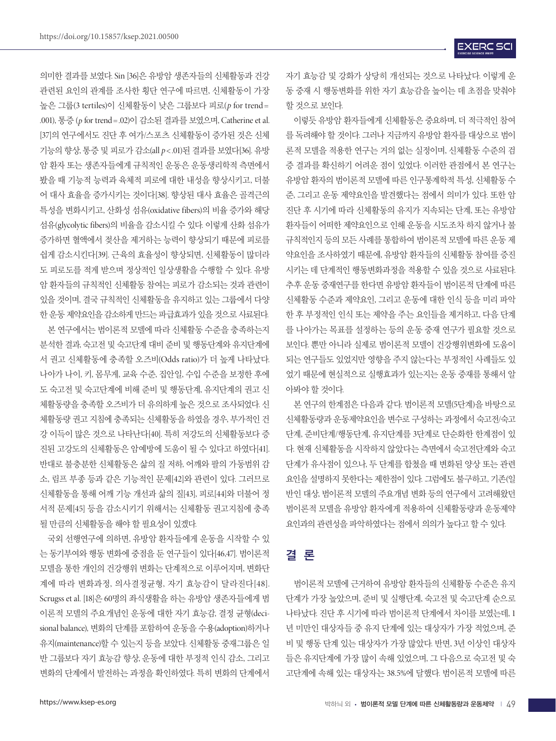의미한 결과를 보였다. Sin [36]은 유방암 생존자들의 신체활동과 건강 관련된 요인의 관계를 조사한 횡단 연구에 따르면, 신체활동이 가장 높은 그룹(3 tertiles)이 신체활동이 낮은 그룹보다 피로(*p* for trend = .001), 통증 (*p* for trend =.02)이 감소된 결과를 보였으며, Catherine et al. [37]의 연구에서도 진단 후 여가/스포츠 신체활동이 증가된 것은 신체 기능의 향상, 통증 및 피로가 감소(all *p*<.01)된 결과를 보였다[36]. 유방 암 환자 또는 생존자들에게 규칙적인 운동은 운동생리학적 측면에서 봤을 때 기능적 능력과 육체적 피로에 대한 내성을 향상시키고, 더불 어 대사 효율을 증가시키는 것이다[38]. 향상된 대사 효율은 골격근의 특성을 변화시키고, 산화성 섬유(oxidative fibers)의 비율 증가와 해당 섬유(glycolytic fibers)의 비율을 감소시킬 수 있다. 이렇게 산화 섬유가 증가하면 혈액에서 젖산을 제거하는 능력이 향상되기 때문에 피로를 쉽게 감소시킨다[39]. 근육의 효율성이 향상되면, 신체활동이 많더라 도 피로도를 적게 받으며 정상적인 일상생활을 수행할 수 있다. 유방 암 환자들의 규칙적인 신체활동 참여는 피로가 감소되는 것과 관련이 있을 것이며, 결국 규칙적인 신체활동을 유지하고 있는 그룹에서 다양 한 운동 제약요인을 감소하게 만드는 파급효과가 있을 것으로 사료된다.

본 연구에서는 범이론적 모델에 따라 신체활동 수준을 충족하는지 분석한 결과, 숙고전 및 숙고단계 대비 준비 및 행동단계와 유지단계에 서 권고 신체활동에 충족할 오즈비(Odds ratio)가 더 높게 나타났다. 나아가 나이, 키, 몸무게, 교육 수준, 집안일, 수입 수준을 보정한 후에 도 숙고전 및 숙고단계에 비해 준비 및 행동단계, 유지단계의 권고 신 체활동량을 충족할 오즈비가 더 유의하게 높은 것으로 조사되었다. 신 체활동량 권고 지침에 충족되는 신체활동을 하였을 경우, 부가적인 건 강 이득이 많은 것으로 나타난다[40]. 특히 저강도의 신체활동보다 증 진된 고강도의 신체활동은 암예방에 도움이 될 수 있다고 하였다[41]. 반대로 불충분한 신체활동은 삶의 질 저하, 어깨와 팔의 가동범위 감 소, 림프 부종 등과 같은 기능적인 문제[42]와 관련이 있다. 그러므로 신체활동을 통해 어깨 기능 개선과 삶의 질[43], 피로[44]와 더불어 정 서적 문제[45] 등을 감소시키기 위해서는 신체활동 권고지침에 충족 될 만큼의 신체활동을 해야 할 필요성이 있겠다.

국외 선행연구에 의하면, 유방암 환자들에게 운동을 시작할 수 있 는 동기부여와 행동 변화에 중점을 둔 연구들이 있다[46,47]. 범이론적 모델을 통한 개인의 건강행위 변화는 단계적으로 이루어지며, 변화단 계에 따라 변화과정, 의사결정균형, 자기 효능감이 달라진다[48]. Scrugss et al. [18]은 60명의 좌식생활을 하는 유방암 생존자들에게 범 이론적 모델의 주요개념인 운동에 대한 자기 효능감, 결정 균형(decisional balance), 변화의 단계를 포함하여 운동을 수용(adoption)하거나 유지(maintenance)할 수 있는지 등을 보았다. 신체활동 중재그룹은 일 반 그룹보다 자기 효능감 향상, 운동에 대한 부정적 인식 감소, 그리고 변화의 단계에서 발전하는 과정을 확인하였다. 특히 변화의 단계에서 자기 효능감 및 강화가 상당히 개선되는 것으로 나타났다. 이렇게 운 동 중재 시 행동변화를 위한 자기 효능감을 높이는 데 초점을 맞춰야 할 것으로 보인다.

이렇듯 유방암 환자들에게 신체활동은 중요하며, 더 적극적인 참여 를 독려해야 할 것이다. 그러나 지금까지 유방암 환자를 대상으로 범이 론적 모델을 적용한 연구는 거의 없는 실정이며, 신체활동 수준의 검 증 결과를 확신하기 어려운 점이 있었다. 이러한 관점에서 본 연구는 유방암 환자의 범이론적 모델에 따른 인구통계학적 특성, 신체활동 수 준, 그리고 운동 제약요인을 발견했다는 점에서 의미가 있다. 또한 암 진단 후 시기에 따라 신체활동의 유지가 지속되는 단계, 또는 유방암 환자들이 어떠한 제약요인으로 인해 운동을 시도조차 하지 않거나 불 규칙적인지 등의 모든 사례를 통합하여 범이론적 모델에 따른 운동 제 약요인을 조사하였기 때문에, 유방암 환자들의 신체활동 참여를 증진 시키는 데 단계적인 행동변화과정을 적용할 수 있을 것으로 사료된다. 추후 운동 중재연구를 한다면 유방암 환자들이 범이론적 단계에 따른 신체활동 수준과 제약요인, 그리고 운동에 대한 인식 등을 미리 파악 한 후 부정적인 인식 또는 제약을 주는 요인들을 제거하고, 다음 단계 를 나아가는 목표를 설정하는 등의 운동 중재 연구가 필요할 것으로 보인다. 뿐만 아니라 실제로 범이론적 모델이 건강행위변화에 도움이 되는 연구들도 있었지만 영향을 주지 않는다는 부정적인 사례들도 있 었기 때문에 현실적으로 실행효과가 있는지는 운동 중재를 통해서 알 아봐야 할 것이다.

본 연구의 한계점은 다음과 같다. 범이론적 모델(5단계)을 바탕으로 신체활동량과 운동제약요인을 변수로 구성하는 과정에서 숙고전/숙고 단계, 준비단계/행동단계, 유지단계를 3단계로 단순화한 한계점이 있 다. 현재 신체활동을 시작하지 않았다는 측면에서 숙고전단계와 숙고 단계가 유사점이 있으나, 두 단계를 합쳤을 때 변화된 양상 또는 관련 요인을 설명하지 못한다는 제한점이 있다. 그럼에도 불구하고, 기존(일 반인 대상, 범이론적 모델의 주요개념 변화 등의 연구에서 고려해왔던 범이론적 모델을 유방암 환자에게 적용하여 신체활동량과 운동제약 요인과의 관련성을 파악하였다는 점에서 의의가 높다고 할 수 있다.

## 결 론

범이론적 모델에 근거하여 유방암 환자들의 신체활동 수준은 유지 단계가 가장 높았으며, 준비 및 실행단계, 숙고전 및 숙고단계 순으로 나타났다. 진단 후 시기에 따라 범이론적 단계에서 차이를 보였는데, 1 년 미만인 대상자들 중 유지 단계에 있는 대상자가 가장 적었으며, 준 비 및 행동 단계 있는 대상자가 가장 많았다. 반면, 3년 이상인 대상자 들은 유지단계에 가장 많이 속해 있었으며, 그 다음으로 숙고전 및 숙 고단계에 속해 있는 대상자는 38.5%에 달했다. 범이론적 모델에 따른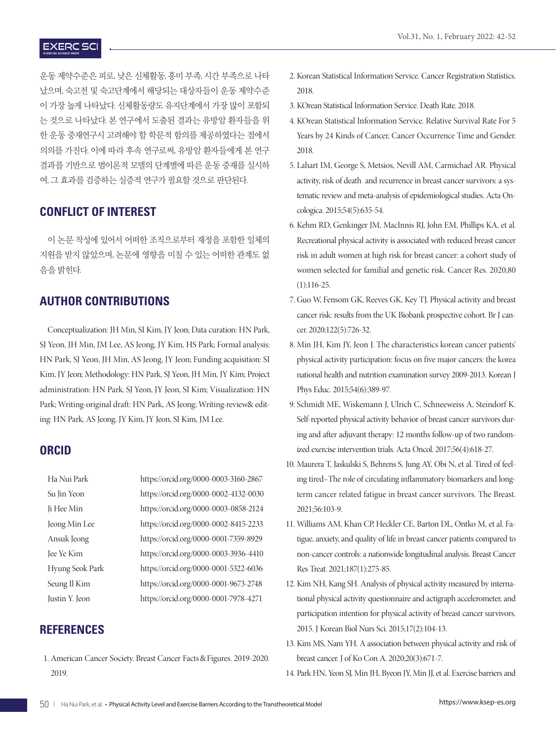## **EXERC SCI**

운동 제약수준은 피로, 낮은 신체활동, 흥미 부족, 시간 부족으로 나타 났으며, 숙고전 및 숙고단계에서 해당되는 대상자들이 운동 제약수준 이 가장 높게 나타났다. 신체활동량도 유지단계에서 가장 많이 포함되 는 것으로 나타났다. 본 연구에서 도출된 결과는 유방암 환자들을 위 한 운동 중재연구시 고려해야 할 학문적 함의를 제공하였다는 점에서 의의를 가진다. 이에 따라 후속 연구로써, 유방암 환자들에게 본 연구 결과를 기반으로 범이론적 모델의 단계별에 따른 운동 중재를 실시하 여, 그 효과를 검증하는 실증적 연구가 필요할 것으로 판단된다.

## **CONFLICT OF INTEREST**

이 논문 작성에 있어서 어떠한 조직으로부터 재정을 포함한 일체의 지원을 받지 않았으며, 논문에 영향을 미칠 수 있는 어떠한 관계도 없 음을 밝히다.

## **AUTHOR CONTRIBUTIONS**

Conceptualization: JH Min, SI Kim, JY Jeon; Data curation: HN Park, SJ Yeon, JH Min, JM Lee, AS Jeong, JY Kim, HS Park; Formal analysis: HN Park, SJ Yeon, JH Min, AS Jeong, JY Jeon; Funding acquisition: SI Kim, JY Jeon; Methodology: HN Park, SJ Yeon, JH Min, JY Kim; Project administration: HN Park, SJ Yeon, JY Jeon, SI Kim; Visualization: HN Park; Writing-original draft: HN Park, AS Jeong; Writing-review& editing: HN Park, AS Jeong, JY Kim, JY Jeon, SI Kim, JM Lee.

#### **ORCID**

| Ha Nui Park     | https://orcid.org/0000-0003-3160-2867 |
|-----------------|---------------------------------------|
| Su Jin Yeon     | https://orcid.org/0000-0002-4132-0030 |
| Ji Hee Min      | https://orcid.org/0000-0003-0858-2124 |
| Jeong Min Lee   | https://orcid.org/0000-0002-8415-2233 |
| Ansuk Jeong     | https://orcid.org/0000-0001-7359-8929 |
| Jee Ye Kim      | https://orcid.org/0000-0003-3936-4410 |
| Hyung Seok Park | https://orcid.org/0000-0001-5322-6036 |
| Seung Il Kim    | https://orcid.org/0000-0001-9673-2748 |
| Justin Y. Jeon  | https://orcid.org/0000-0001-7978-4271 |
|                 |                                       |

## **REFERENCES**

1. American Cancer Society. Breast Cancer Facts & Figures. 2019-2020. 2019.

- 2. Korean Statistical Information Service. Cancer Registration Statistics. 2018.
- 3. KOrean Statistical Information Service. Death Rate. 2018.
- 4. KOrean Statistical Information Service. Relative Survival Rate For 5 Years by 24 Kinds of Cancer, Cancer Occurrence Time and Gender. 2018.
- 5. Lahart IM, George S, Metsios, Nevill AM, Carmichael AR. Physical activity, risk of death and recurrence in breast cancer survivors: a systematic review and meta-analysis of epidemiological studies. Acta Oncologica. 2015;54(5):635-54.
- 6. Kehm RD, Genkinger JM, MacInnis RJ, John EM, Phillips KA, et al. Recreational physical activity is associated with reduced breast cancer risk in adult women at high risk for breast cancer: a cohort study of women selected for familial and genetic risk. Cancer Res. 2020;80 (1):116-25.
- 7. Guo W, Fensom GK, Reeves GK, Key TJ. Physical activity and breast cancer risk: results from the UK Biobank prospective cohort. Br J cancer. 2020;122(5):726-32.
- 8. Min JH, Kim JY, Jeon J. The characteristics korean cancer patients' physical activity participation: focus on five major cancers: the korea national health and nutrition examination survey 2009-2013. Korean J Phys Educ. 2015;54(6):389-97.
- 9. Schmidt ME, Wiskemann J, Ulrich C, Schneeweiss A, Steindorf K. Self-reported physical activity behavior of breast cancer survivors during and after adjuvant therapy: 12 months follow-up of two randomized exercise intervention trials. Acta Oncol. 2017;56(4):618-27.
- 10. Maurera T, Jaskulski S, Behrens S, Jung AY, Obi N, et al. Tired of feeling tired–The role of circulating inflammatory biomarkers and longterm cancer related fatigue in breast cancer survivors. The Breast. 2021;56:103-9.
- 11. Williams AM, Khan CP, Heckler CE, Barton DL, Ontko M, et al. Fatigue, anxiety, and quality of life in breast cancer patients compared to non-cancer controls: a nationwide longitudinal analysis. Breast Cancer Res Treat. 2021;187(1):275-85.
- 12. Kim NH, Kang SH. Analysis of physical activity measured by international physical activity questionnaire and actigraph accelerometer, and participation intention for physical activity of breast cancer survivors. 2015. J Korean Biol Nurs Sci. 2015;17(2):104-13.
- 13. Kim MS, Nam YH. A association between physical activity and risk of breast cancer. J of Ko Con A. 2020;20(3):671-7.
- 14. Park HN, Yeon SJ, Min JH, Byeon JY, Min JJ, et al. Exercise barriers and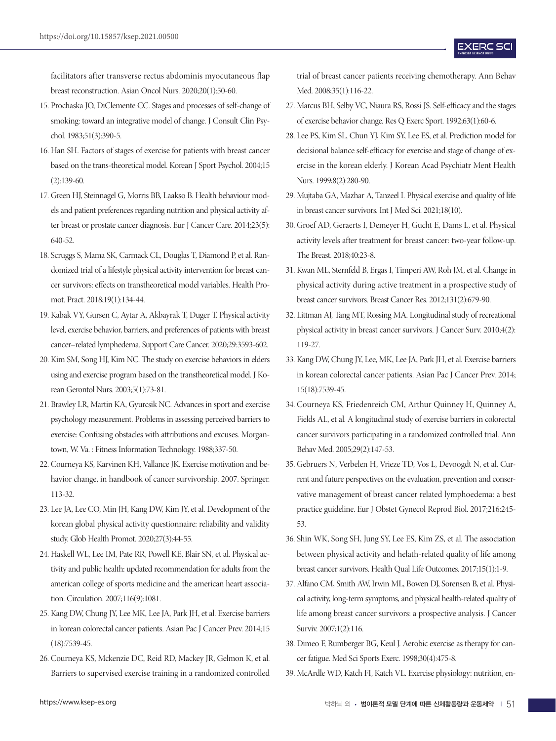facilitators after transverse rectus abdominis myocutaneous flap breast reconstruction. Asian Oncol Nurs. 2020;20(1):50-60.

- 15. Prochaska JO, DiClemente CC. Stages and processes of self-change of smoking: toward an integrative model of change. J Consult Clin Psychol. 1983;51(3):390-5.
- 16. Han SH. Factors of stages of exercise for patients with breast cancer based on the trans-theoretical model. Korean J Sport Psychol. 2004;15  $(2):139-60.$
- 17. Green HJ, Steinnagel G, Morris BB, Laakso B. Health behaviour models and patient preferences regarding nutrition and physical activity after breast or prostate cancer diagnosis. Eur J Cancer Care. 2014;23(5): 640-52.
- 18. Scruggs S, Mama SK, Carmack CL, Douglas T, Diamond P, et al. Randomized trial of a lifestyle physical activity intervention for breast cancer survivors: effects on transtheoretical model variables. Health Promot. Pract. 2018;19(1):134-44.
- 19. Kabak VY, Gursen C, Aytar A, Akbayrak T, Duger T. Physical activity level, exercise behavior, barriers, and preferences of patients with breast cancer–related lymphedema. Support Care Cancer. 2020;29:3593-602.
- 20. Kim SM, Song HJ, Kim NC. The study on exercise behaviors in elders using and exercise program based on the transtheoretical model. J Korean Gerontol Nurs. 2003;5(1):73-81.
- 21. Brawley LR, Martin KA, Gyurcsik NC. Advances in sport and exercise psychology measurement. Problems in assessing perceived barriers to exercise: Confusing obstacles with attributions and excuses. Morgantown, W. Va. : Fitness Information Technology. 1988;337-50.
- 22. Courneya KS, Karvinen KH, Vallance JK. Exercise motivation and behavior change, in handbook of cancer survivorship. 2007. Springer. 113-32.
- 23. Lee JA, Lee CO, Min JH, Kang DW, Kim JY, et al. Development of the korean global physical activity questionnaire: reliability and validity study. Glob Health Promot. 2020;27(3):44-55.
- 24. Haskell WL, Lee IM, Pate RR, Powell KE, Blair SN, et al. Physical activity and public health: updated recommendation for adults from the american college of sports medicine and the american heart association. Circulation. 2007;116(9):1081.
- 25. Kang DW, Chung JY, Lee MK, Lee JA, Park JH, et al. Exercise barriers in korean colorectal cancer patients. Asian Pac J Cancer Prev. 2014;15 (18):7539-45.
- 26. Courneya KS, Mckenzie DC, Reid RD, Mackey JR, Gelmon K, et al. Barriers to supervised exercise training in a randomized controlled

trial of breast cancer patients receiving chemotherapy. Ann Behav Med. 2008;35(1):116-22.

- 27. Marcus BH, Selby VC, Niaura RS, Rossi JS. Self-efficacy and the stages of exercise behavior change. Res Q Exerc Sport. 1992;63(1):60-6.
- 28. Lee PS, Kim SL, Chun YJ, Kim SY, Lee ES, et al. Prediction model for decisional balance self-efficacy for exercise and stage of change of exercise in the korean elderly. J Korean Acad Psychiatr Ment Health Nurs. 1999;8(2):280-90.
- 29. Mujtaba GA, Mazhar A, Tanzeel I. Physical exercise and quality of life in breast cancer survivors. Int J Med Sci. 2021;18(10).
- 30. Groef AD, Geraerts I, Demeyer H, Gucht E, Dams L, et al. Physical activity levels after treatment for breast cancer: two-year follow-up. The Breast. 2018;40:23-8.
- 31. Kwan ML, Sternfeld B, Ergas I, Timperi AW, Roh JM, et al. Change in physical activity during active treatment in a prospective study of breast cancer survivors. Breast Cancer Res. 2012;131(2):679-90.
- 32. Littman AJ, Tang MT, Rossing MA. Longitudinal study of recreational physical activity in breast cancer survivors. J Cancer Surv. 2010;4(2): 119-27.
- 33. Kang DW, Chung JY, Lee, MK, Lee JA, Park JH, et al. Exercise barriers in korean colorectal cancer patients. Asian Pac J Cancer Prev. 2014; 15(18):7539-45.
- 34. Courneya KS, Friedenreich CM, Arthur Quinney H, Quinney A, Fields AL, et al. A longitudinal study of exercise barriers in colorectal cancer survivors participating in a randomized controlled trial. Ann Behav Med. 2005;29(2):147-53.
- 35. Gebruers N, Verbelen H, Vrieze TD, Vos L, Devoogdt N, et al. Current and future perspectives on the evaluation, prevention and conservative management of breast cancer related lymphoedema: a best practice guideline. Eur J Obstet Gynecol Reprod Biol. 2017;216:245- 53.
- 36. Shin WK, Song SH, Jung SY, Lee ES, Kim ZS, et al. The association between physical activity and helath-related quality of life among breast cancer survivors. Health Qual Life Outcomes. 2017;15(1):1-9.
- 37. Alfano CM, Smith AW, Irwin ML, Bowen DJ, Sorensen B, et al. Physical activity, long-term symptoms, and physical health-related quality of life among breast cancer survivors: a prospective analysis. J Cancer Surviv. 2007;1(2):116.
- 38. Dimeo F, Rumberger BG, Keul J. Aerobic exercise as therapy for cancer fatigue. Med Sci Sports Exerc. 1998;30(4):475-8.
- 39. McArdle WD, Katch FI, Katch VL. Exercise physiology: nutrition, en-